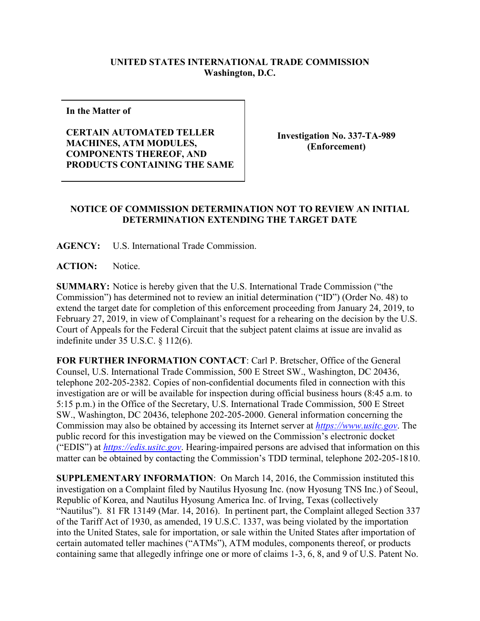## **UNITED STATES INTERNATIONAL TRADE COMMISSION Washington, D.C.**

**In the Matter of**

**CERTAIN AUTOMATED TELLER MACHINES, ATM MODULES, COMPONENTS THEREOF, AND PRODUCTS CONTAINING THE SAME**

**Investigation No. 337-TA-989 (Enforcement)**

## **NOTICE OF COMMISSION DETERMINATION NOT TO REVIEW AN INITIAL DETERMINATION EXTENDING THE TARGET DATE**

**AGENCY:** U.S. International Trade Commission.

**ACTION:** Notice.

**SUMMARY:** Notice is hereby given that the U.S. International Trade Commission ("the Commission") has determined not to review an initial determination ("ID") (Order No. 48) to extend the target date for completion of this enforcement proceeding from January 24, 2019, to February 27, 2019, in view of Complainant's request for a rehearing on the decision by the U.S. Court of Appeals for the Federal Circuit that the subject patent claims at issue are invalid as indefinite under 35 U.S.C. § 112(6).

**FOR FURTHER INFORMATION CONTACT**: Carl P. Bretscher, Office of the General Counsel, U.S. International Trade Commission, 500 E Street SW., Washington, DC 20436, telephone 202-205-2382. Copies of non-confidential documents filed in connection with this investigation are or will be available for inspection during official business hours (8:45 a.m. to 5:15 p.m.) in the Office of the Secretary, U.S. International Trade Commission, 500 E Street SW., Washington, DC 20436, telephone 202-205-2000. General information concerning the Commission may also be obtained by accessing its Internet server at *[https://www.usitc.gov](https://www.usitc.gov/)*. The public record for this investigation may be viewed on the Commission's electronic docket ("EDIS") at *[https://edis.usitc.gov](https://edis.usitc.gov/)*. Hearing-impaired persons are advised that information on this matter can be obtained by contacting the Commission's TDD terminal, telephone 202-205-1810.

**SUPPLEMENTARY INFORMATION**: On March 14, 2016, the Commission instituted this investigation on a Complaint filed by Nautilus Hyosung Inc. (now Hyosung TNS Inc.) of Seoul, Republic of Korea, and Nautilus Hyosung America Inc. of Irving, Texas (collectively "Nautilus"). 81 FR 13149 (Mar. 14, 2016). In pertinent part, the Complaint alleged Section 337 of the Tariff Act of 1930, as amended, 19 U.S.C. 1337, was being violated by the importation into the United States, sale for importation, or sale within the United States after importation of certain automated teller machines ("ATMs"), ATM modules, components thereof, or products containing same that allegedly infringe one or more of claims 1-3, 6, 8, and 9 of U.S. Patent No.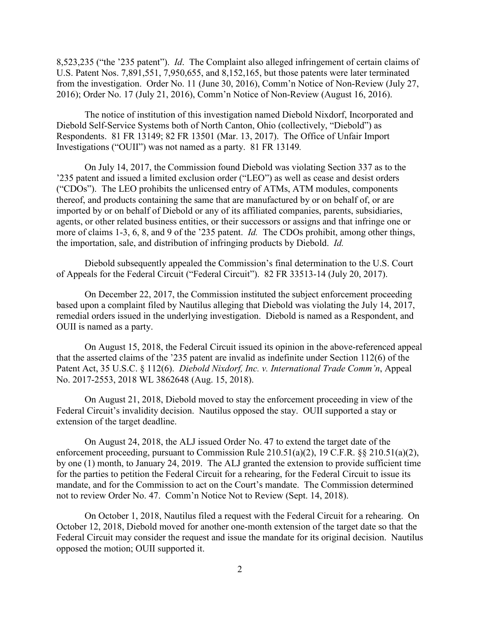8,523,235 ("the '235 patent"). *Id*. The Complaint also alleged infringement of certain claims of U.S. Patent Nos. 7,891,551, 7,950,655, and 8,152,165, but those patents were later terminated from the investigation. Order No. 11 (June 30, 2016), Comm'n Notice of Non-Review (July 27, 2016); Order No. 17 (July 21, 2016), Comm'n Notice of Non-Review (August 16, 2016).

The notice of institution of this investigation named Diebold Nixdorf, Incorporated and Diebold Self-Service Systems both of North Canton, Ohio (collectively, "Diebold") as Respondents. 81 FR 13149; 82 FR 13501 (Mar. 13, 2017). The Office of Unfair Import Investigations ("OUII") was not named as a party. 81 FR 13149*.*

On July 14, 2017, the Commission found Diebold was violating Section 337 as to the '235 patent and issued a limited exclusion order ("LEO") as well as cease and desist orders ("CDOs"). The LEO prohibits the unlicensed entry of ATMs, ATM modules, components thereof, and products containing the same that are manufactured by or on behalf of, or are imported by or on behalf of Diebold or any of its affiliated companies, parents, subsidiaries, agents, or other related business entities, or their successors or assigns and that infringe one or more of claims 1-3, 6, 8, and 9 of the '235 patent. *Id.* The CDOs prohibit, among other things, the importation, sale, and distribution of infringing products by Diebold. *Id.*

Diebold subsequently appealed the Commission's final determination to the U.S. Court of Appeals for the Federal Circuit ("Federal Circuit"). 82 FR 33513-14 (July 20, 2017).

On December 22, 2017, the Commission instituted the subject enforcement proceeding based upon a complaint filed by Nautilus alleging that Diebold was violating the July 14, 2017, remedial orders issued in the underlying investigation. Diebold is named as a Respondent, and OUII is named as a party.

On August 15, 2018, the Federal Circuit issued its opinion in the above-referenced appeal that the asserted claims of the '235 patent are invalid as indefinite under Section 112(6) of the Patent Act, 35 U.S.C. § 112(6). *Diebold Nixdorf, Inc. v. International Trade Comm'n*, Appeal No. 2017-2553, 2018 WL 3862648 (Aug. 15, 2018).

On August 21, 2018, Diebold moved to stay the enforcement proceeding in view of the Federal Circuit's invalidity decision. Nautilus opposed the stay. OUII supported a stay or extension of the target deadline.

On August 24, 2018, the ALJ issued Order No. 47 to extend the target date of the enforcement proceeding, pursuant to Commission Rule 210.51(a)(2), 19 C.F.R. §§ 210.51(a)(2), by one (1) month, to January 24, 2019. The ALJ granted the extension to provide sufficient time for the parties to petition the Federal Circuit for a rehearing, for the Federal Circuit to issue its mandate, and for the Commission to act on the Court's mandate. The Commission determined not to review Order No. 47. Comm'n Notice Not to Review (Sept. 14, 2018).

On October 1, 2018, Nautilus filed a request with the Federal Circuit for a rehearing. On October 12, 2018, Diebold moved for another one-month extension of the target date so that the Federal Circuit may consider the request and issue the mandate for its original decision. Nautilus opposed the motion; OUII supported it.